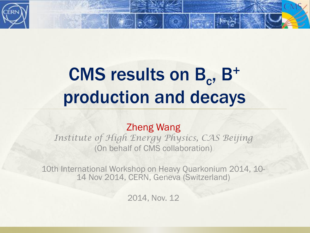

## CMS results on B<sub>c</sub>, B<sup>+</sup> production and decays

#### Zheng Wang

*Institute of High Energy Physics, CAS Beijing*  (On behalf of CMS collaboration)

10th International Workshop on Heavy Quarkonium 2014, 10- 14 Nov 2014, CERN, Geneva (Switzerland)

2014, Nov. 12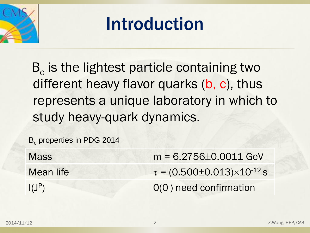

#### Introduction

B<sub>c</sub> is the lightest particle containing two different heavy flavor quarks (b, c), thus represents a unique laboratory in which to study heavy-quark dynamics.

B<sub>c</sub> properties in PDG 2014

| <b>Mass</b> | $m = 6.2756 \pm 0.0011$ GeV                  |
|-------------|----------------------------------------------|
| Mean life   | $\tau = (0.500 \pm 0.013) \times 10^{-12}$ s |
| $I(J^P)$    | $O(O1)$ need confirmation                    |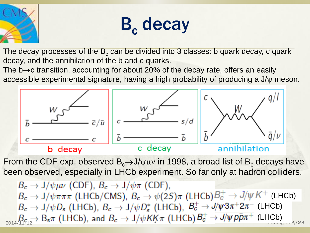



The decay processes of the  $B<sub>c</sub>$  can be divided into 3 classes: b quark decay, c quark decay, and the annihilation of the b and c quarks.

The  $b\rightarrow c$  transition, accounting for about 20% of the decay rate, offers an easily accessible experimental signature, having a high probability of producing a  $J/\psi$  meson.



From the CDF exp. observed  $B_c\rightarrow J/\psi\mu\nu$  in 1998, a broad list of  $B_c$  decays have been observed, especially in LHCb experiment. So far only at hadron colliders.

 $B_c \rightarrow J/\psi \mu \nu$  (CDF),  $B_c \rightarrow J/\psi \pi$  (CDF),  $B_c \to J/\psi \pi \pi \pi$  (LHCb/CMS),  $B_c \to \psi(2S) \pi$  (LHCb) $B_c^+ \to J/\psi K^+$  (LHCb)  $B_c \to J/\psi D_s$  (LHCb),  $B_c \to J/\psi D_s^*$  (LHCb),  $B_c^+ \to J/\psi^2 3\pi^+ 2\pi^-$  (LHCb) (LHCb)  $3^n$   $(2180)$   $6$   $7111$ 2014/11/12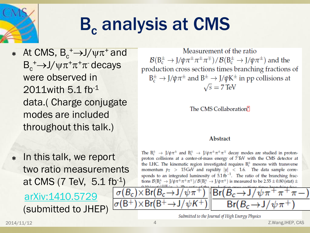

## **B. analysis at CMS**

 $\ast$  At CMS, B<sub>c</sub><sup>+</sup>→J/ψπ<sup>+</sup> and  $B_c^+ \rightarrow J/\psi \pi^+ \pi^+ \pi^-$  decays were observed in 2011with 5.1 fb-1 data.( Charge conjugate modes are included throughout this talk.)

Measurement of the ratio  $\mathcal{B}(B_c^{\pm} \to J/\psi \pi^{\pm} \pi^{\pm} \pi^{\mp}) / \mathcal{B}(B_c^{\pm} \to J/\psi \pi^{\pm})$  and the production cross sections times branching fractions of  $B_c^{\pm} \rightarrow J/\psi \pi^{\pm}$  and  $B^{\pm} \rightarrow J/\psi K^{\pm}$  in pp collisions at  $\sqrt{s}$  = 7 TeV

The CMS Collaboration<sup>®</sup>

#### **Abstract**

\* In this talk, we report two ratio measurements at CMS (7 TeV,  $5.1 \text{ fb}^{-1}$ )

 [arXiv:1410.5729](https://mmm.cern.ch/owa/redir.aspx?C=5M4htHzJBEakg0Tdzn_HxHrSo_110dEI2pJM0XHr1az4JXJZPRKFsJSuelLMjJEeH57wrVDHfxg.&URL=http://arxiv.org/abs/arXiv:1410.5729) (submitted to JHEP) The  $B_c^{\pm}$   $\rightarrow$   $J/\psi \pi^{\pm}$  and  $B_c^{\pm}$   $\rightarrow$   $J/\psi \pi^{\pm} \pi^{\pm} \pi^{\mp}$  decay modes are studied in protonproton collisions at a center-of-mass energy of 7 TeV with the CMS detector at the LHC. The kinematic region investigated requires  $B_c^{\pm}$  mesons with transverse momentum  $p_T > 15 \text{ GeV}$  and rapidity  $|y| < 1.6$ . The data sample corresponds to an integrated luminosity of  $5.1 \text{ fb}^{-1}$ . The ratio of the branching fractions  $\mathcal{B}(B_c^{\pm} \to J/\psi \pi^{\pm} \pi^{\pm} \pi^{\mp}) / \mathcal{B}(B_c^{\pm} \to J/\psi \pi^{\pm})$  is measured to be 2.55  $\pm$  0.80 (stat)  $\pm$ 



Submitted to the Journal of High Energy Physics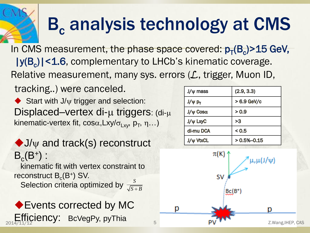## **B<sub>c</sub> analysis technology at CMS**

In CMS measurement, the phase space covered:  $p_T(B_c)$ >15 GeV, |y(B<sub>c</sub>)|<1.6, complementary to LHCb's kinematic coverage. Relative measurement, many sys. errors (L, trigger, Muon ID,

tracking..) were canceled.

Start with  $J/\psi$  trigger and selection: Displaced–vertex di- $\mu$  triggers: (di- $\mu$ ) kinematic-vertex fit, cos $\alpha$ ,Lxy/ $\sigma$ <sub>Lxy</sub>, p<sub>T</sub>,  $\eta$ ...)

 $\blacklozenge$  J/ $\psi$  and track(s) reconstruct  $B_c(B^+)$ :

 kinematic fit with vertex constraint to reconstruct  $B_c(B^+)$  SV.

Selection criteria optimized by  $\frac{S}{\sqrt{S}}$  $S + B$ 

◆ Events corrected by MC ī

| $J/\psi$ mass    | (2.9, 3.3)    |
|------------------|---------------|
| $J/\psi p_T$     | > 6.9 GeV/c   |
| $J/\psi$ Cosa    | > 0.9         |
| $J/\psi$ LxyC    | >3            |
| di-mu DCA        | < 0.5         |
| <b>J/w VtxCL</b> | $>0.5% -0.15$ |

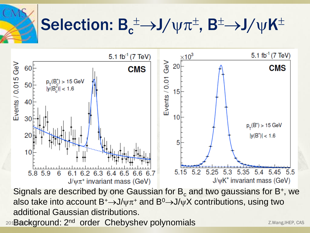$\mathbf{S}$  Selection:  $B_c^{\pm} \rightarrow J/\psi \pi^{\pm}$ ,  $B^{\pm} \rightarrow J/\psi K^{\pm}$ 



Signals are described by one Gaussian for  $\mathsf{B}_{\mathrm{c}}$  and two gaussians for B+, we also take into account  $B^+\rightarrow J/\psi\pi^+$  and  $B^0\rightarrow J/\psi X$  contributions, using two additional Gaussian distributions.

201**Background: 2<sup>nd</sup> order Chebyshev polynomials 6 All 2018 ackground: 2.Wang,IHEP, CAS**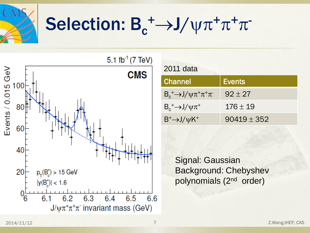

# $\mathbf{S} = \mathbf{S}^{-1}$  Selection:  $\mathbf{B}_c^+ \rightarrow \mathbf{J}/\mathbf{V}\pi^+\pi^+\pi^-$



|  | 2011 data |
|--|-----------|
|  |           |

| <b>Channel</b>                               | <b>Events</b> |
|----------------------------------------------|---------------|
| $B_c^+ \rightarrow J/\psi \pi^+ \pi^+ \pi^-$ | $92 + 27$     |
| $B_c^+ \rightarrow J/\psi \pi^+$             | $176 \pm 19$  |
| $B^+ \rightarrow J/\psi K^+$                 | $90419 + 352$ |

Signal: Gaussian Background: Chebyshev polynomials (2<sup>nd</sup> order)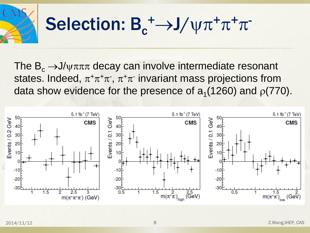

The  $B_c \rightarrow J/\psi \pi \pi \pi$  decay can involve intermediate resonant states. Indeed,  $\pi^+\pi^+\pi^-$ ,  $\pi^+\pi^-$  invariant mass projections from data show evidence for the presence of  $a_1(1260)$  and  $p(770)$ .

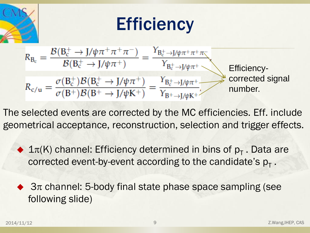

The selected events are corrected by the MC efficiencies. Eff. include geometrical acceptance, reconstruction, selection and trigger effects.

 $\blacklozenge$  1 $\pi$ (K) channel: Efficiency determined in bins of  $p_T$ . Data are corrected event-by-event according to the candidate's  $p_T$ .

 $\triangleleft$  3 $\pi$  channel: 5-body final state phase space sampling (see following slide)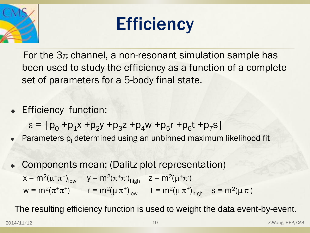



For the  $3\pi$  channel, a non-resonant simulation sample has been used to study the efficiency as a function of a complete set of parameters for a 5-body final state.

**Efficiency function:** 

 $\varepsilon = |p_0 + p_1x + p_2y + p_3z + p_4w + p_5r + p_6t + p_7s|$ 

- Parameters p<sub>i</sub> determined using an unbinned maximum likelihood fit
- Components mean: (Dalitz plot representation)  $x = m^2(\mu^+\pi^+)_{low}$   $y = m^2(\pi^+\pi^-)_{high}$   $z = m^2(\mu^+\pi^-)$  $w = m^2(\pi^+\pi^+)$   $r = m^2(\mu^-\pi^+)_{low}$   $t = m^2(\mu^-\pi^+)_{high}$   $s = m^2(\mu^-\pi^-)$

The resulting efficiency function is used to weight the data event-by-event.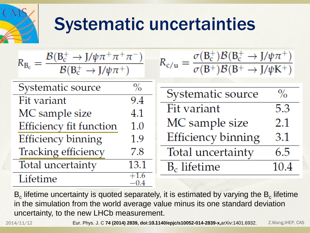

### Systematic uncertainties

$$
R_{B_c} = \frac{\mathcal{B}(B_c^+ \to J/\psi \pi^+ \pi^+ \pi^-)}{\mathcal{B}(B_c^+ \to J/\psi \pi^+)}
$$

| Systematic source       | $\frac{0}{0}$               |
|-------------------------|-----------------------------|
| Fit variant             | 9.4                         |
| MC sample size          | 4.1                         |
| Efficiency fit function | 1.0                         |
| Efficiency binning      | 1.9                         |
| Tracking efficiency     | 7.8                         |
| Total uncertainty       | 13.1                        |
| Lifetime                | $+1.6$<br>$\alpha$ $\alpha$ |

| $R_{c/u} =$ | $\sigma(B_c^+)B(B_c^+ \to J/\psi \pi^+)$ |  |
|-------------|------------------------------------------|--|
|             | $\sigma(B^+)B(B^+ \to J/\psi K^+)$       |  |

| Systematic source         | $\%$ |
|---------------------------|------|
| Fit variant               | 5.3  |
| MC sample size            | 2.1  |
| <b>Efficiency binning</b> | 3.1  |
| Total uncertainty         | 6.5  |
| $B_c$ lifetime            | 10.4 |

 ${\sf B}_{\rm c}$  lifetime uncertainty is quoted separately, it is estimated by varying the  ${\sf B}_{\rm c}$  lifetime in the simulation from the world average value minus its one standard deviation uncertainty, to the new LHCb measurement.

 $-0.4$ 

2014/11/12 **Eur. Phys. J. C 74 (2014) 2839, doi:10.1140/epjc/s10052-014-2839-x,arXiv:1401.6932. Z.Wang,IHEP, CAS**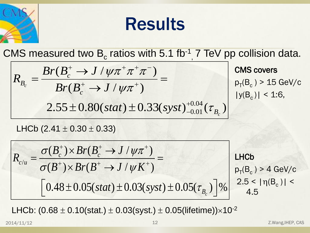

#### Results

CMS measured two B<sub>c</sub> ratios with 5.1 fb<sup>-1</sup>, 7 TeV pp collision data.

\n
$$
R_{B_c} = \frac{Br(B_c^+ \to J/\psi \pi^+ \pi^+ \pi^-)}{Br(B_c^+ \to J/\psi \pi^+)} = \frac{GMS \text{ covers}}{Br(B_c^+ \to J/\psi \pi^+)} = \frac{F(B_c) > 15 \text{ GeV/c}}{[y(B_c)] \times 15 \text{ GeV/c}}
$$
\n2.55 ± 0.80(stat) ± 0.33(syst)<sup>+0.04</sup> (T<sub>B<sub>c</sub></sub>)

$$
2.55 \pm 0.80(stat) \pm 0.33(syst)^{+0.04}_{-0.01}(\tau_{B_c})
$$
  
\nLHCb (2.41 ± 0.30 ± 0.33)  
\n
$$
R_{c/u} = \frac{\sigma(B_c^+) \times Br(B_c^+ \to J/\psi \pi^+)}{\sigma(B^+) \times Br(B^+ \to J/\psi K^+)} = \text{LHCb}
$$
  
\n
$$
[0.48 \pm 0.05(stat) \pm 0.03(syst) \pm 0.05(\tau_{B_c})] \%
$$
\n
$$
2.5 < |\eta(B_c)| < 4.5
$$

LHCb: (0.68  $\pm$  0.10(stat.)  $\pm$  0.03(syst.)  $\pm$  0.05(lifetime)) $\times$ 10<sup>-2</sup>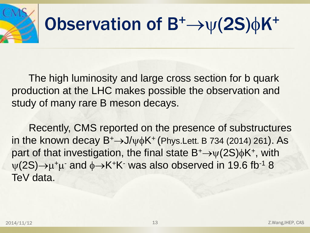

 The high luminosity and large cross section for b quark production at the LHC makes possible the observation and study of many rare B meson decays.

 Recently, CMS reported on the presence of substructures in the known decay  $B^+$  $\rightarrow$ J/ $\psi \phi K^+$  (Phys.Lett. B 734 (2014) 261). As part of that investigation, the final state  $B^+ \rightarrow \psi(2S)\phi K^+$ , with  $\psi(2S) \rightarrow \mu^+ \mu^-$  and  $\phi \rightarrow K^+ K^-$  was also observed in 19.6 fb<sup>-1</sup> 8 TeV data.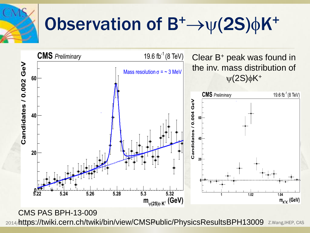

## Observation of  $B^+\rightarrow \psi(2S)\phi K^+$



CMS PAS BPH-13-009

2014/https://twiki.cern.ch/twiki/bin/view/CMSPublic/PhysicsResultsBPH13009 Z.Wang,IHEP, CAS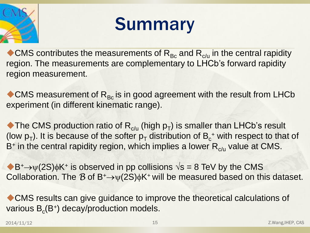

## Summary

CMS contributes the measurements of  $R_{BC}$  and  $R_{C/U}$  in the central rapidity region. The measurements are complementary to LHCb's forward rapidity region measurement.

 $\bullet$  CMS measurement of  $R_{BC}$  is in good agreement with the result from LHCb experiment (in different kinematic range).

The CMS production ratio of  $R_{c/u}$  (high  $p_T$ ) is smaller than LHCb's result (low  $p_T$ ). It is because of the softer  $p_T$  distribution of  $B_c^+$  with respect to that of B<sup>+</sup> in the central rapidity region, which implies a lower  $R_{c/u}$  value at CMS.

 $\blacklozenge B^+ \rightarrow \psi(2S)\phi K^+$  is observed in pp collisions  $\sqrt{s} = 8$  TeV by the CMS Collaboration. The *B* of B<sup>+</sup> $\rightarrow$  $\psi$ (2S) $\phi$ K<sup>+</sup> will be measured based on this dataset.

CMS results can give guidance to improve the theoretical calculations of various  $B_c(B^+)$  decay/production models.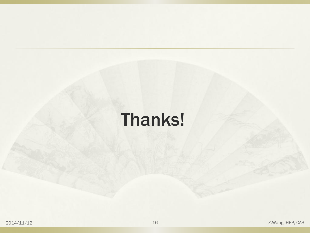### Thanks!